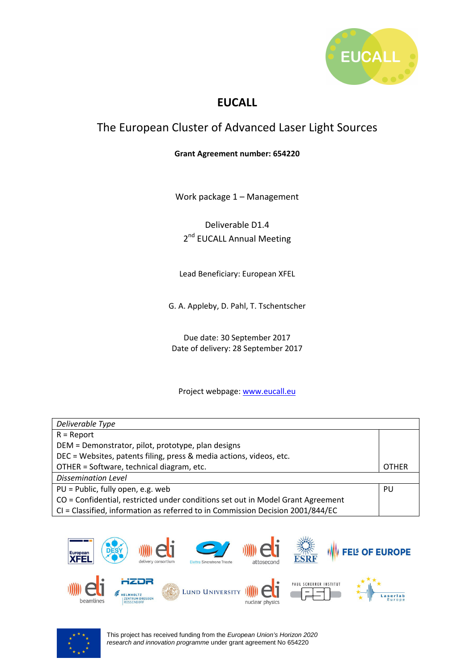

# **EUCALL**

# The European Cluster of Advanced Laser Light Sources

#### **Grant Agreement number: 654220**

Work package 1 – Management

Deliverable D1.4 2<sup>nd</sup> EUCALL Annual Meeting

Lead Beneficiary: European XFEL

G. A. Appleby, D. Pahl, T. Tschentscher

Due date: 30 September 2017 Date of delivery: 28 September 2017

#### Project webpage: www.eucall.eu

| Deliverable Type                                                                |  |
|---------------------------------------------------------------------------------|--|
| $R =$ Report                                                                    |  |
| DEM = Demonstrator, pilot, prototype, plan designs                              |  |
| DEC = Websites, patents filing, press & media actions, videos, etc.             |  |
| OTHER = Software, technical diagram, etc.                                       |  |
| <b>Dissemination Level</b>                                                      |  |
| PU = Public, fully open, e.g. web                                               |  |
| CO = Confidential, restricted under conditions set out in Model Grant Agreement |  |
| CI = Classified, information as referred to in Commission Decision 2001/844/EC  |  |



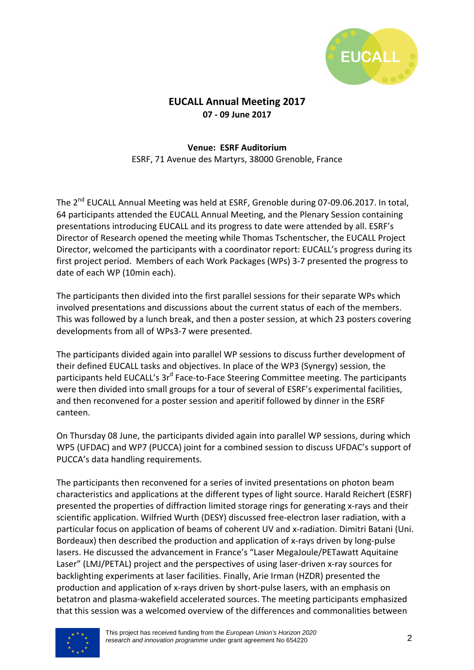

# **EUCALL Annual Meeting 2017 07 - 09 June 2017**

#### **Venue: ESRF Auditorium**  ESRF, 71 Avenue des Martyrs, 38000 Grenoble, France

The 2<sup>nd</sup> EUCALL Annual Meeting was held at ESRF, Grenoble during 07-09.06.2017. In total, 64 participants attended the EUCALL Annual Meeting, and the Plenary Session containing presentations introducing EUCALL and its progress to date were attended by all. ESRF's Director of Research opened the meeting while Thomas Tschentscher, the EUCALL Project Director, welcomed the participants with a coordinator report: EUCALL's progress during its first project period. Members of each Work Packages (WPs) 3-7 presented the progress to date of each WP (10min each).

The participants then divided into the first parallel sessions for their separate WPs which involved presentations and discussions about the current status of each of the members. This was followed by a lunch break, and then a poster session, at which 23 posters covering developments from all of WPs3-7 were presented.

The participants divided again into parallel WP sessions to discuss further development of their defined EUCALL tasks and objectives. In place of the WP3 (Synergy) session, the participants held EUCALL's 3r<sup>d</sup> Face-to-Face Steering Committee meeting. The participants were then divided into small groups for a tour of several of ESRF's experimental facilities, and then reconvened for a poster session and aperitif followed by dinner in the ESRF canteen.

On Thursday 08 June, the participants divided again into parallel WP sessions, during which WP5 (UFDAC) and WP7 (PUCCA) joint for a combined session to discuss UFDAC's support of PUCCA's data handling requirements.

The participants then reconvened for a series of invited presentations on photon beam characteristics and applications at the different types of light source. Harald Reichert (ESRF) presented the properties of diffraction limited storage rings for generating x-rays and their scientific application. Wilfried Wurth (DESY) discussed free-electron laser radiation, with a particular focus on application of beams of coherent UV and x-radiation. Dimitri Batani (Uni. Bordeaux) then described the production and application of x-rays driven by long-pulse lasers. He discussed the advancement in France's "Laser MegaJoule/PETawatt Aquitaine Laser" (LMJ/PETAL) project and the perspectives of using laser-driven x-ray sources for backlighting experiments at laser facilities. Finally, Arie Irman (HZDR) presented the production and application of x-rays driven by short-pulse lasers, with an emphasis on betatron and plasma-wakefield accelerated sources. The meeting participants emphasized that this session was a welcomed overview of the differences and commonalities between

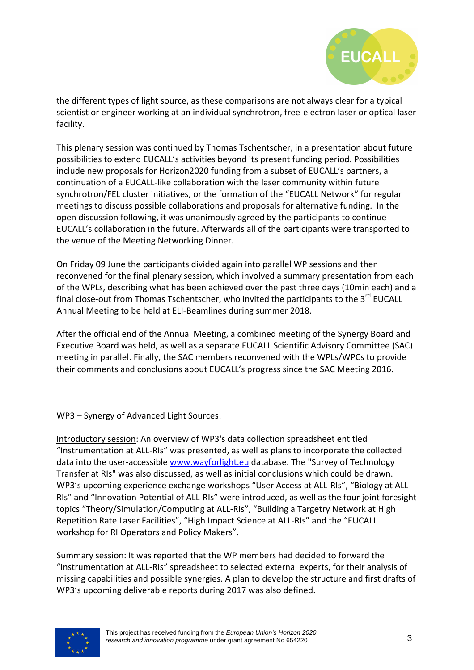

the different types of light source, as these comparisons are not always clear for a typical scientist or engineer working at an individual synchrotron, free-electron laser or optical laser facility.

This plenary session was continued by Thomas Tschentscher, in a presentation about future possibilities to extend EUCALL's activities beyond its present funding period. Possibilities include new proposals for Horizon2020 funding from a subset of EUCALL's partners, a continuation of a EUCALL-like collaboration with the laser community within future synchrotron/FEL cluster initiatives, or the formation of the "EUCALL Network" for regular meetings to discuss possible collaborations and proposals for alternative funding. In the open discussion following, it was unanimously agreed by the participants to continue EUCALL's collaboration in the future. Afterwards all of the participants were transported to the venue of the Meeting Networking Dinner.

On Friday 09 June the participants divided again into parallel WP sessions and then reconvened for the final plenary session, which involved a summary presentation from each of the WPLs, describing what has been achieved over the past three days (10min each) and a final close-out from Thomas Tschentscher, who invited the participants to the 3<sup>rd</sup> EUCALL Annual Meeting to be held at ELI-Beamlines during summer 2018.

After the official end of the Annual Meeting, a combined meeting of the Synergy Board and Executive Board was held, as well as a separate EUCALL Scientific Advisory Committee (SAC) meeting in parallel. Finally, the SAC members reconvened with the WPLs/WPCs to provide their comments and conclusions about EUCALL's progress since the SAC Meeting 2016.

### WP3 – Synergy of Advanced Light Sources:

Introductory session: An overview of WP3's data collection spreadsheet entitled "Instrumentation at ALL-RIs" was presented, as well as plans to incorporate the collected data into the user-accessible www.wayforlight.eu database. The "Survey of Technology Transfer at RIs" was also discussed, as well as initial conclusions which could be drawn. WP3's upcoming experience exchange workshops "User Access at ALL-RIs", "Biology at ALL-RIs" and "Innovation Potential of ALL-RIs" were introduced, as well as the four joint foresight topics "Theory/Simulation/Computing at ALL-RIs", "Building a Targetry Network at High Repetition Rate Laser Facilities", "High Impact Science at ALL-RIs" and the "EUCALL workshop for RI Operators and Policy Makers".

Summary session: It was reported that the WP members had decided to forward the "Instrumentation at ALL-RIs" spreadsheet to selected external experts, for their analysis of missing capabilities and possible synergies. A plan to develop the structure and first drafts of WP3's upcoming deliverable reports during 2017 was also defined.



This project has received funding from the European Union's Horizon 2020 research and innovation programme under grant agreement No 654220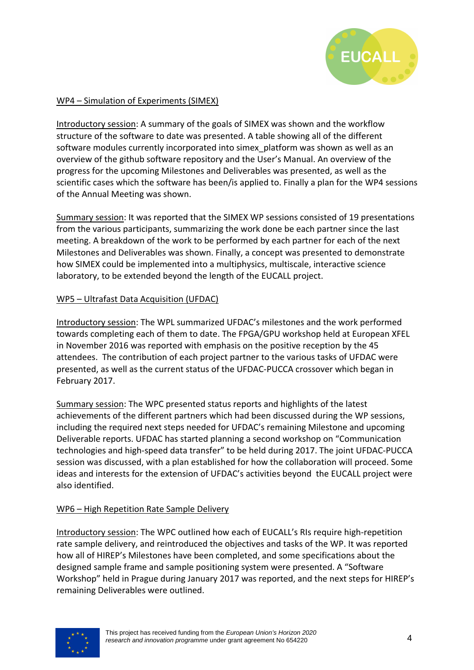

## WP4 – Simulation of Experiments (SIMEX)

Introductory session: A summary of the goals of SIMEX was shown and the workflow structure of the software to date was presented. A table showing all of the different software modules currently incorporated into simex\_platform was shown as well as an overview of the github software repository and the User's Manual. An overview of the progress for the upcoming Milestones and Deliverables was presented, as well as the scientific cases which the software has been/is applied to. Finally a plan for the WP4 sessions of the Annual Meeting was shown.

Summary session: It was reported that the SIMEX WP sessions consisted of 19 presentations from the various participants, summarizing the work done be each partner since the last meeting. A breakdown of the work to be performed by each partner for each of the next Milestones and Deliverables was shown. Finally, a concept was presented to demonstrate how SIMEX could be implemented into a multiphysics, multiscale, interactive science laboratory, to be extended beyond the length of the EUCALL project.

### WP5 – Ultrafast Data Acquisition (UFDAC)

Introductory session: The WPL summarized UFDAC's milestones and the work performed towards completing each of them to date. The FPGA/GPU workshop held at European XFEL in November 2016 was reported with emphasis on the positive reception by the 45 attendees. The contribution of each project partner to the various tasks of UFDAC were presented, as well as the current status of the UFDAC-PUCCA crossover which began in February 2017.

Summary session: The WPC presented status reports and highlights of the latest achievements of the different partners which had been discussed during the WP sessions, including the required next steps needed for UFDAC's remaining Milestone and upcoming Deliverable reports. UFDAC has started planning a second workshop on "Communication technologies and high-speed data transfer" to be held during 2017. The joint UFDAC-PUCCA session was discussed, with a plan established for how the collaboration will proceed. Some ideas and interests for the extension of UFDAC's activities beyond the EUCALL project were also identified.

### WP6 – High Repetition Rate Sample Delivery

Introductory session: The WPC outlined how each of EUCALL's RIs require high-repetition rate sample delivery, and reintroduced the objectives and tasks of the WP. It was reported how all of HIREP's Milestones have been completed, and some specifications about the designed sample frame and sample positioning system were presented. A "Software Workshop" held in Prague during January 2017 was reported, and the next steps for HIREP's remaining Deliverables were outlined.

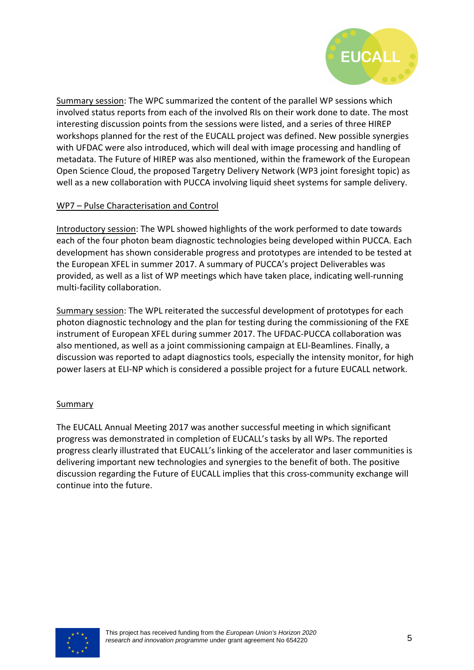

Summary session: The WPC summarized the content of the parallel WP sessions which involved status reports from each of the involved RIs on their work done to date. The most interesting discussion points from the sessions were listed, and a series of three HIREP workshops planned for the rest of the EUCALL project was defined. New possible synergies with UFDAC were also introduced, which will deal with image processing and handling of metadata. The Future of HIREP was also mentioned, within the framework of the European Open Science Cloud, the proposed Targetry Delivery Network (WP3 joint foresight topic) as well as a new collaboration with PUCCA involving liquid sheet systems for sample delivery.

### WP7 – Pulse Characterisation and Control

Introductory session: The WPL showed highlights of the work performed to date towards each of the four photon beam diagnostic technologies being developed within PUCCA. Each development has shown considerable progress and prototypes are intended to be tested at the European XFEL in summer 2017. A summary of PUCCA's project Deliverables was provided, as well as a list of WP meetings which have taken place, indicating well-running multi-facility collaboration.

Summary session: The WPL reiterated the successful development of prototypes for each photon diagnostic technology and the plan for testing during the commissioning of the FXE instrument of European XFEL during summer 2017. The UFDAC-PUCCA collaboration was also mentioned, as well as a joint commissioning campaign at ELI-Beamlines. Finally, a discussion was reported to adapt diagnostics tools, especially the intensity monitor, for high power lasers at ELI-NP which is considered a possible project for a future EUCALL network.

#### **Summary**

The EUCALL Annual Meeting 2017 was another successful meeting in which significant progress was demonstrated in completion of EUCALL's tasks by all WPs. The reported progress clearly illustrated that EUCALL's linking of the accelerator and laser communities is delivering important new technologies and synergies to the benefit of both. The positive discussion regarding the Future of EUCALL implies that this cross-community exchange will continue into the future.

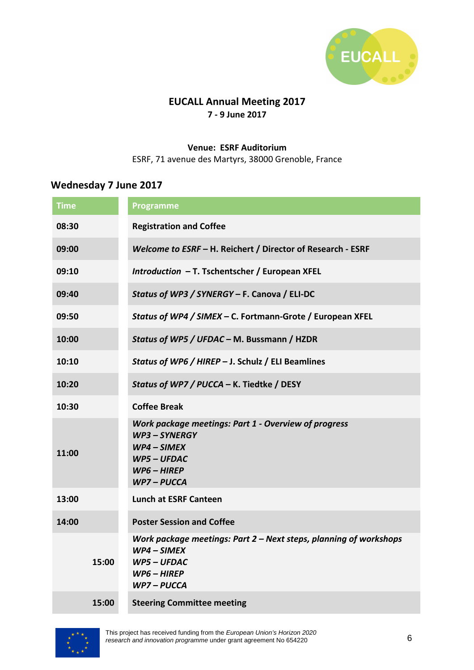

# **EUCALL Annual Meeting 2017 7 - 9 June 2017**

### **Venue: ESRF Auditorium**

ESRF, 71 avenue des Martyrs, 38000 Grenoble, France

# **Wednesday 7 June 2017**

| <b>Time</b> | Programme                                                                                                                            |
|-------------|--------------------------------------------------------------------------------------------------------------------------------------|
| 08:30       | <b>Registration and Coffee</b>                                                                                                       |
| 09:00       | Welcome to ESRF - H. Reichert / Director of Research - ESRF                                                                          |
| 09:10       | Introduction - T. Tschentscher / European XFEL                                                                                       |
| 09:40       | Status of WP3 / SYNERGY - F. Canova / ELI-DC                                                                                         |
| 09:50       | Status of WP4 / SIMEX - C. Fortmann-Grote / European XFEL                                                                            |
| 10:00       | Status of WP5 / UFDAC - M. Bussmann / HZDR                                                                                           |
| 10:10       | Status of WP6 / HIREP - J. Schulz / ELI Beamlines                                                                                    |
| 10:20       | Status of WP7 / PUCCA - K. Tiedtke / DESY                                                                                            |
| 10:30       | <b>Coffee Break</b>                                                                                                                  |
| 11:00       | Work package meetings: Part 1 - Overview of progress<br>WP3-SYNERGY<br>$WP4-SIMEX$<br><b>WP5-UFDAC</b><br>$WP6 - HIREP$<br>WP7-PUCCA |
| 13:00       | <b>Lunch at ESRF Canteen</b>                                                                                                         |
| 14:00       | <b>Poster Session and Coffee</b>                                                                                                     |
| 15:00       | Work package meetings: Part $2$ – Next steps, planning of workshops<br>$WP4-SIMEX$<br>WP5 - UFDAC<br>$WP6 - HIREP$<br>WP7 – PUCCA    |
| 15:00       | <b>Steering Committee meeting</b>                                                                                                    |

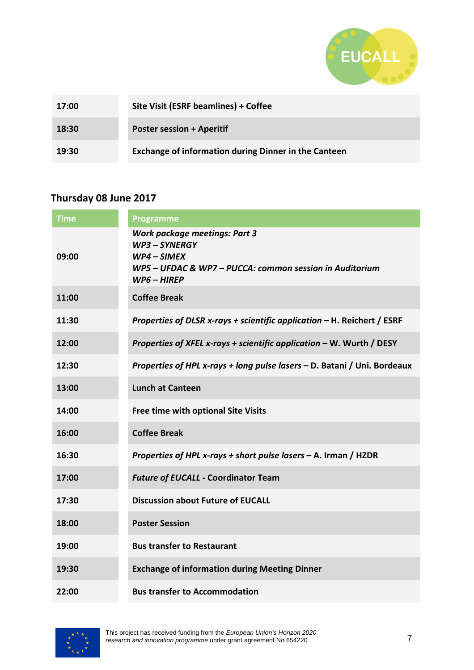

| 17:00 | Site Visit (ESRF beamlines) + Coffee                        |
|-------|-------------------------------------------------------------|
| 18:30 | <b>Poster session + Aperitif</b>                            |
| 19:30 | <b>Exchange of information during Dinner in the Canteen</b> |

# **Thursday 08 June 2017**

| <b>Time</b> | <b>Programme</b>                                                                                                                               |
|-------------|------------------------------------------------------------------------------------------------------------------------------------------------|
| 09:00       | <b>Work package meetings: Part 3</b><br>WP3-SYNERGY<br>WP4 - SIMEX<br>WP5 - UFDAC & WP7 - PUCCA: common session in Auditorium<br>$WP6 - HIREP$ |
| 11:00       | <b>Coffee Break</b>                                                                                                                            |
| 11:30       | Properties of DLSR x-rays + scientific application - H. Reichert / ESRF                                                                        |
| 12:00       | Properties of XFEL x-rays + scientific application – W. Wurth / DESY                                                                           |
| 12:30       | Properties of HPL x-rays + long pulse lasers - D. Batani / Uni. Bordeaux                                                                       |
| 13:00       | <b>Lunch at Canteen</b>                                                                                                                        |
| 14:00       | Free time with optional Site Visits                                                                                                            |
| 16:00       | <b>Coffee Break</b>                                                                                                                            |
| 16:30       | Properties of HPL x-rays + short pulse lasers - A. Irman / HZDR                                                                                |
| 17:00       | <b>Future of EUCALL - Coordinator Team</b>                                                                                                     |
| 17:30       | <b>Discussion about Future of EUCALL</b>                                                                                                       |
| 18:00       | <b>Poster Session</b>                                                                                                                          |
| 19:00       | <b>Bus transfer to Restaurant</b>                                                                                                              |
| 19:30       | <b>Exchange of information during Meeting Dinner</b>                                                                                           |
| 22:00       | <b>Bus transfer to Accommodation</b>                                                                                                           |